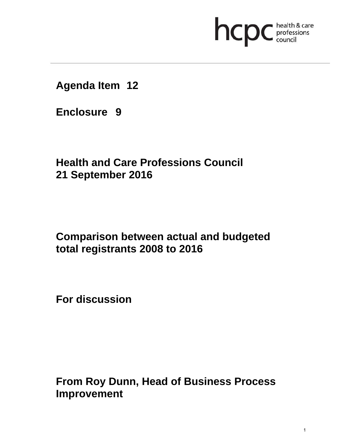

**Agenda Item 12** 

**Enclosure 9**

**Health and Care Professions Council 21 September 2016**

## **Comparison between actual and budgeted total registrants 2008 to 2016**

**For discussion** 

**From Roy Dunn, Head of Business Process Improvement**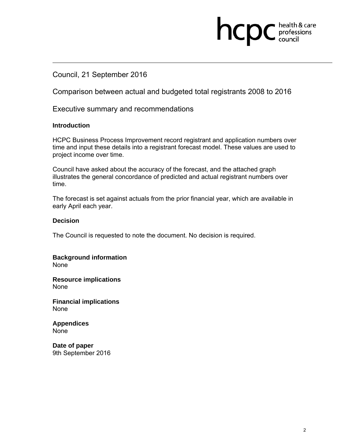### Council, 21 September 2016

Comparison between actual and budgeted total registrants 2008 to 2016

**health & care** 

Executive summary and recommendations

#### **Introduction**

HCPC Business Process Improvement record registrant and application numbers over time and input these details into a registrant forecast model. These values are used to project income over time.

Council have asked about the accuracy of the forecast, and the attached graph illustrates the general concordance of predicted and actual registrant numbers over time.

The forecast is set against actuals from the prior financial year, which are available in early April each year.

#### **Decision**

The Council is requested to note the document. No decision is required.

**Background information** 

None

**Resource implications**  None

**Financial implications**  None

**Appendices**  None

**Date of paper**  9th September 2016